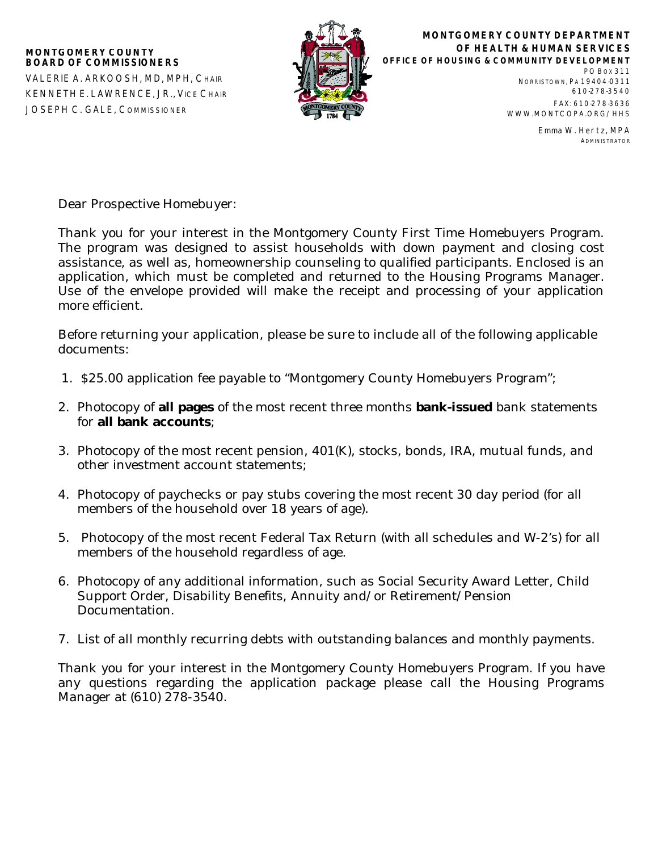

**MONTGOMERY COUNTY DEPARTMENT OF HEALTH & HUMAN SERVICES OFFICE OF HOUSING & COMMUNITY DEVELOPMENT** PO BOX 311

NORRISTOWN, PA 19404-0311 610-278-3540 FAX: 610-278-3636 WWW.MONTCOPA.ORG/HHS

> Emma W. Hertz, MPA ADMINISTRATOR

Dear Prospective Homebuyer:

Thank you for your interest in the Montgomery County First Time Homebuyers Program. The program was designed to assist households with down payment and closing cost assistance, as well as, homeownership counseling to qualified participants. Enclosed is an application, which must be completed and returned to the Housing Programs Manager. Use of the envelope provided will make the receipt and processing of your application more efficient.

Before returning your application, please be sure to include all of the following applicable documents:

- 1. \$25.00 application fee payable to "Montgomery County Homebuyers Program";
- 2. Photocopy of **all pages** of the most recent three months **bank-issued** bank statements for **all bank accounts**;
- 3. Photocopy of the most recent pension, 401(K), stocks, bonds, IRA, mutual funds, and other investment account statements;
- 4. Photocopy of paychecks or pay stubs covering the most recent 30 day period (for all members of the household over 18 years of age).
- 5. Photocopy of the most recent Federal Tax Return (with all schedules and W-2's) for all members of the household regardless of age.
- 6. Photocopy of any additional information, such as Social Security Award Letter, Child Support Order, Disability Benefits, Annuity and/or Retirement/Pension Documentation.
- 7. List of all monthly recurring debts with outstanding balances and monthly payments.

Thank you for your interest in the Montgomery County Homebuyers Program. If you have any questions regarding the application package please call the Housing Programs Manager at (610) 278-3540.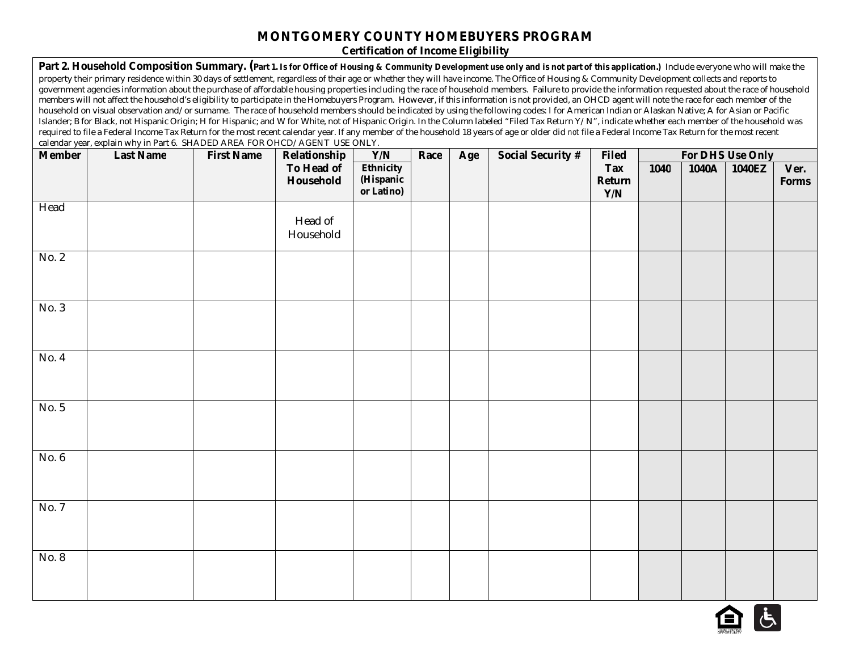# **MONTGOMERY COUNTY HOMEBUYERS PROGRAM**

**Certification of Income Eligibility**

|               | Part 2. Household Composition Summary. (Part 1. Is for Office of Housing & Community Development use only and is not part of this application.) Include everyone who will make the                                                                                                                                                                                                                      |                   |              |                  |      |     |                   |              |      |       |                  |              |
|---------------|---------------------------------------------------------------------------------------------------------------------------------------------------------------------------------------------------------------------------------------------------------------------------------------------------------------------------------------------------------------------------------------------------------|-------------------|--------------|------------------|------|-----|-------------------|--------------|------|-------|------------------|--------------|
|               | property their primary residence within 30 days of settlement, regardless of their age or whether they will have income. The Office of Housing & Community Development collects and reports to<br>government agencies information about the purchase of affordable housing properties including the race of household members. Failure to provide the information requested about the race of household |                   |              |                  |      |     |                   |              |      |       |                  |              |
|               | members will not affect the household's eligibility to participate in the Homebuyers Program. However, if this information is not provided, an OHCD agent will note the race for each member of the                                                                                                                                                                                                     |                   |              |                  |      |     |                   |              |      |       |                  |              |
|               | household on visual observation and/or surname. The race of household members should be indicated by using the following codes: I for American Indian or Alaskan Native; A for Asian or Pacific                                                                                                                                                                                                         |                   |              |                  |      |     |                   |              |      |       |                  |              |
|               | Islander; B for Black, not Hispanic Origin; H for Hispanic; and W for White, not of Hispanic Origin. In the Column labeled "Filed Tax Return Y/N", indicate whether each member of the household was                                                                                                                                                                                                    |                   |              |                  |      |     |                   |              |      |       |                  |              |
|               | required to file a Federal Income Tax Return for the most recent calendar year. If any member of the household 18 years of age or older did not file a Federal Income Tax Return for the most recent                                                                                                                                                                                                    |                   |              |                  |      |     |                   |              |      |       |                  |              |
|               | calendar year, explain why in Part 6. SHADED AREA FOR OHCD/AGENT USE ONLY.                                                                                                                                                                                                                                                                                                                              |                   |              |                  |      |     |                   |              |      |       |                  |              |
| <b>Member</b> | <b>Last Name</b>                                                                                                                                                                                                                                                                                                                                                                                        | <b>First Name</b> | Relationship | Y/N              | Race | Age | Social Security # | <b>Filed</b> |      |       | For DHS Use Only |              |
|               |                                                                                                                                                                                                                                                                                                                                                                                                         |                   | To Head of   | <b>Ethnicity</b> |      |     |                   | <b>Tax</b>   | 1040 | 1040A | 1040EZ           | Ver.         |
|               |                                                                                                                                                                                                                                                                                                                                                                                                         |                   | Household    | (Hispanic        |      |     |                   | Return       |      |       |                  | <b>Forms</b> |
|               |                                                                                                                                                                                                                                                                                                                                                                                                         |                   |              | or Latino)       |      |     |                   | Y/N          |      |       |                  |              |
| Head          |                                                                                                                                                                                                                                                                                                                                                                                                         |                   |              |                  |      |     |                   |              |      |       |                  |              |
|               |                                                                                                                                                                                                                                                                                                                                                                                                         |                   | Head of      |                  |      |     |                   |              |      |       |                  |              |
|               |                                                                                                                                                                                                                                                                                                                                                                                                         |                   |              |                  |      |     |                   |              |      |       |                  |              |
|               |                                                                                                                                                                                                                                                                                                                                                                                                         |                   | Household    |                  |      |     |                   |              |      |       |                  |              |
| No. 2         |                                                                                                                                                                                                                                                                                                                                                                                                         |                   |              |                  |      |     |                   |              |      |       |                  |              |
|               |                                                                                                                                                                                                                                                                                                                                                                                                         |                   |              |                  |      |     |                   |              |      |       |                  |              |
|               |                                                                                                                                                                                                                                                                                                                                                                                                         |                   |              |                  |      |     |                   |              |      |       |                  |              |
|               |                                                                                                                                                                                                                                                                                                                                                                                                         |                   |              |                  |      |     |                   |              |      |       |                  |              |
|               |                                                                                                                                                                                                                                                                                                                                                                                                         |                   |              |                  |      |     |                   |              |      |       |                  |              |
| No. 3         |                                                                                                                                                                                                                                                                                                                                                                                                         |                   |              |                  |      |     |                   |              |      |       |                  |              |
|               |                                                                                                                                                                                                                                                                                                                                                                                                         |                   |              |                  |      |     |                   |              |      |       |                  |              |
|               |                                                                                                                                                                                                                                                                                                                                                                                                         |                   |              |                  |      |     |                   |              |      |       |                  |              |
|               |                                                                                                                                                                                                                                                                                                                                                                                                         |                   |              |                  |      |     |                   |              |      |       |                  |              |
| No. 4         |                                                                                                                                                                                                                                                                                                                                                                                                         |                   |              |                  |      |     |                   |              |      |       |                  |              |
|               |                                                                                                                                                                                                                                                                                                                                                                                                         |                   |              |                  |      |     |                   |              |      |       |                  |              |
|               |                                                                                                                                                                                                                                                                                                                                                                                                         |                   |              |                  |      |     |                   |              |      |       |                  |              |
|               |                                                                                                                                                                                                                                                                                                                                                                                                         |                   |              |                  |      |     |                   |              |      |       |                  |              |
| No. 5         |                                                                                                                                                                                                                                                                                                                                                                                                         |                   |              |                  |      |     |                   |              |      |       |                  |              |
|               |                                                                                                                                                                                                                                                                                                                                                                                                         |                   |              |                  |      |     |                   |              |      |       |                  |              |
|               |                                                                                                                                                                                                                                                                                                                                                                                                         |                   |              |                  |      |     |                   |              |      |       |                  |              |
|               |                                                                                                                                                                                                                                                                                                                                                                                                         |                   |              |                  |      |     |                   |              |      |       |                  |              |
| No. 6         |                                                                                                                                                                                                                                                                                                                                                                                                         |                   |              |                  |      |     |                   |              |      |       |                  |              |
|               |                                                                                                                                                                                                                                                                                                                                                                                                         |                   |              |                  |      |     |                   |              |      |       |                  |              |
|               |                                                                                                                                                                                                                                                                                                                                                                                                         |                   |              |                  |      |     |                   |              |      |       |                  |              |
|               |                                                                                                                                                                                                                                                                                                                                                                                                         |                   |              |                  |      |     |                   |              |      |       |                  |              |
| No. 7         |                                                                                                                                                                                                                                                                                                                                                                                                         |                   |              |                  |      |     |                   |              |      |       |                  |              |
|               |                                                                                                                                                                                                                                                                                                                                                                                                         |                   |              |                  |      |     |                   |              |      |       |                  |              |
|               |                                                                                                                                                                                                                                                                                                                                                                                                         |                   |              |                  |      |     |                   |              |      |       |                  |              |
|               |                                                                                                                                                                                                                                                                                                                                                                                                         |                   |              |                  |      |     |                   |              |      |       |                  |              |
| No. 8         |                                                                                                                                                                                                                                                                                                                                                                                                         |                   |              |                  |      |     |                   |              |      |       |                  |              |
|               |                                                                                                                                                                                                                                                                                                                                                                                                         |                   |              |                  |      |     |                   |              |      |       |                  |              |
|               |                                                                                                                                                                                                                                                                                                                                                                                                         |                   |              |                  |      |     |                   |              |      |       |                  |              |
|               |                                                                                                                                                                                                                                                                                                                                                                                                         |                   |              |                  |      |     |                   |              |      |       |                  |              |

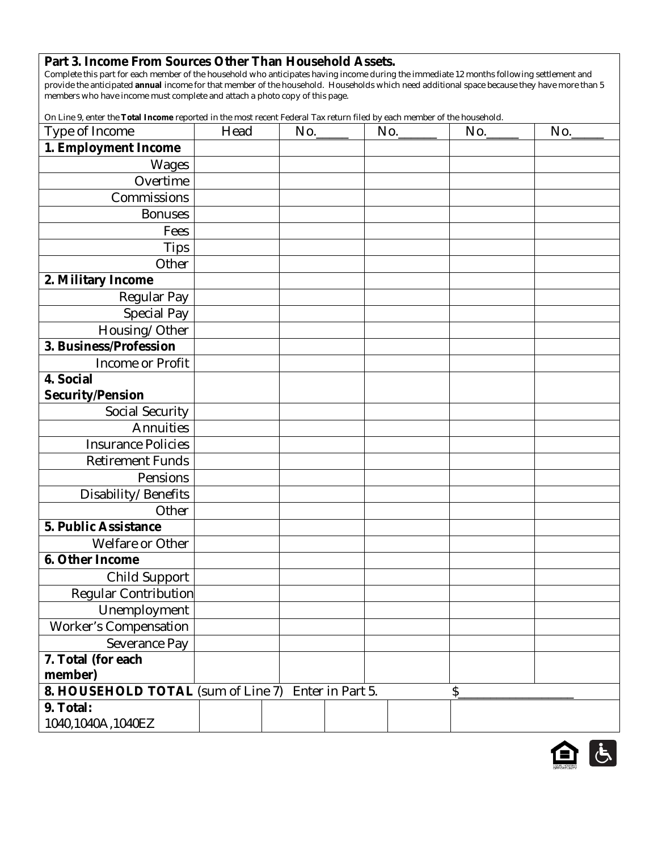#### **Part 3. Income From Sources Other Than Household Assets.**

Complete this part for each member of the household who anticipates having income during the immediate 12 months following settlement and provide the anticipated **annual** income for that member of the household. Households which need additional space because they have more than 5 members who have income must complete and attach a photo copy of this page.

On Line 9, enter the **Total Income** reported in the most recent Federal Tax return filed by each member of the household.

| Type of Income                     | Head |  | No.              | $No.$ $\qquad$ | No. | No. |
|------------------------------------|------|--|------------------|----------------|-----|-----|
| 1. Employment Income               |      |  |                  |                |     |     |
| Wages                              |      |  |                  |                |     |     |
| Overtime                           |      |  |                  |                |     |     |
| Commissions                        |      |  |                  |                |     |     |
| <b>Bonuses</b>                     |      |  |                  |                |     |     |
| Fees                               |      |  |                  |                |     |     |
| <b>Tips</b>                        |      |  |                  |                |     |     |
| Other                              |      |  |                  |                |     |     |
| 2. Military Income                 |      |  |                  |                |     |     |
| Regular Pay                        |      |  |                  |                |     |     |
| Special Pay                        |      |  |                  |                |     |     |
| Housing/Other                      |      |  |                  |                |     |     |
| 3. Business/Profession             |      |  |                  |                |     |     |
| Income or Profit                   |      |  |                  |                |     |     |
| 4. Social                          |      |  |                  |                |     |     |
| <b>Security/Pension</b>            |      |  |                  |                |     |     |
| Social Security                    |      |  |                  |                |     |     |
| Annuities                          |      |  |                  |                |     |     |
| <b>Insurance Policies</b>          |      |  |                  |                |     |     |
| <b>Retirement Funds</b>            |      |  |                  |                |     |     |
| Pensions                           |      |  |                  |                |     |     |
| Disability/Benefits                |      |  |                  |                |     |     |
| Other                              |      |  |                  |                |     |     |
| 5. Public Assistance               |      |  |                  |                |     |     |
| Welfare or Other                   |      |  |                  |                |     |     |
| 6. Other Income                    |      |  |                  |                |     |     |
| <b>Child Support</b>               |      |  |                  |                |     |     |
| <b>Regular Contribution</b>        |      |  |                  |                |     |     |
| Unemployment                       |      |  |                  |                |     |     |
| <b>Worker's Compensation</b>       |      |  |                  |                |     |     |
| Severance Pay                      |      |  |                  |                |     |     |
| 7. Total (for each                 |      |  |                  |                |     |     |
| member)                            |      |  |                  |                |     |     |
| 8. HOUSEHOLD TOTAL (sum of Line 7) |      |  | Enter in Part 5. |                | \$  |     |
| 9. Total:                          |      |  |                  |                |     |     |
| 1040,1040A,1040EZ                  |      |  |                  |                |     |     |

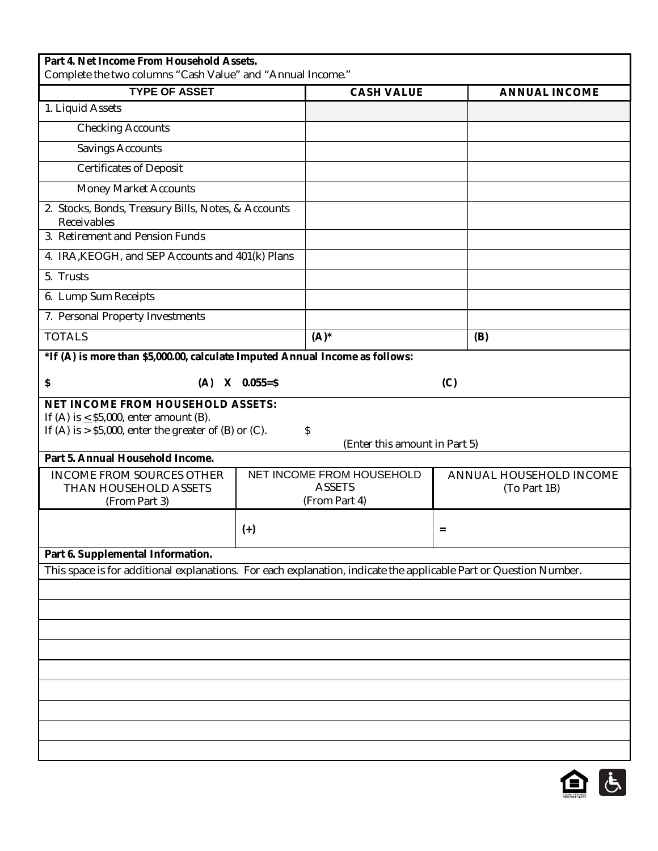| Part 4. Net Income From Household Assets.<br>Complete the two columns "Cash Value" and "Annual Income."                                                   |              |                                                             |                                         |                      |
|-----------------------------------------------------------------------------------------------------------------------------------------------------------|--------------|-------------------------------------------------------------|-----------------------------------------|----------------------|
| <b>TYPE OF ASSET</b>                                                                                                                                      |              | <b>CASH VALUE</b>                                           |                                         | <b>ANNUAL INCOME</b> |
| 1. Liquid Assets                                                                                                                                          |              |                                                             |                                         |                      |
| <b>Checking Accounts</b>                                                                                                                                  |              |                                                             |                                         |                      |
| Savings Accounts                                                                                                                                          |              |                                                             |                                         |                      |
| <b>Certificates of Deposit</b>                                                                                                                            |              |                                                             |                                         |                      |
| <b>Money Market Accounts</b>                                                                                                                              |              |                                                             |                                         |                      |
| 2. Stocks, Bonds, Treasury Bills, Notes, & Accounts<br>Receivables<br>3. Retirement and Pension Funds                                                     |              |                                                             |                                         |                      |
|                                                                                                                                                           |              |                                                             |                                         |                      |
| 4. IRA, KEOGH, and SEP Accounts and 401(k) Plans                                                                                                          |              |                                                             |                                         |                      |
| 5. Trusts                                                                                                                                                 |              |                                                             |                                         |                      |
| 6. Lump Sum Receipts                                                                                                                                      |              |                                                             |                                         |                      |
| 7. Personal Property Investments                                                                                                                          |              |                                                             |                                         |                      |
| <b>TOTALS</b>                                                                                                                                             |              | $(A)^*$                                                     | (B)                                     |                      |
| *If (A) is more than \$5,000.00, calculate Imputed Annual Income as follows:                                                                              |              |                                                             |                                         |                      |
| \$<br>(A)                                                                                                                                                 | $X$ 0.055=\$ |                                                             | (C)                                     |                      |
| <b>NET INCOME FROM HOUSEHOLD ASSETS:</b><br>If (A) is $\leq$ \$5,000, enter amount (B).<br>If $(A)$ is $>$ \$5,000, enter the greater of $(B)$ or $(C)$ . |              | \$<br>(Enter this amount in Part 5)                         |                                         |                      |
| Part 5. Annual Household Income.                                                                                                                          |              |                                                             |                                         |                      |
| <b>INCOME FROM SOURCES OTHER</b><br>THAN HOUSEHOLD ASSETS<br>(From Part 3)                                                                                |              | NET INCOME FROM HOUSEHOLD<br><b>ASSETS</b><br>(From Part 4) | ANNUAL HOUSEHOLD INCOME<br>(To Part 1B) |                      |
|                                                                                                                                                           | $(+)$        |                                                             | $=$                                     |                      |
| Part 6. Supplemental Information.                                                                                                                         |              |                                                             |                                         |                      |
| This space is for additional explanations. For each explanation, indicate the applicable Part or Question Number.                                         |              |                                                             |                                         |                      |
|                                                                                                                                                           |              |                                                             |                                         |                      |
|                                                                                                                                                           |              |                                                             |                                         |                      |
|                                                                                                                                                           |              |                                                             |                                         |                      |
|                                                                                                                                                           |              |                                                             |                                         |                      |
|                                                                                                                                                           |              |                                                             |                                         |                      |
|                                                                                                                                                           |              |                                                             |                                         |                      |
|                                                                                                                                                           |              |                                                             |                                         |                      |
|                                                                                                                                                           |              |                                                             |                                         |                      |
|                                                                                                                                                           |              |                                                             |                                         |                      |
|                                                                                                                                                           |              |                                                             |                                         |                      |

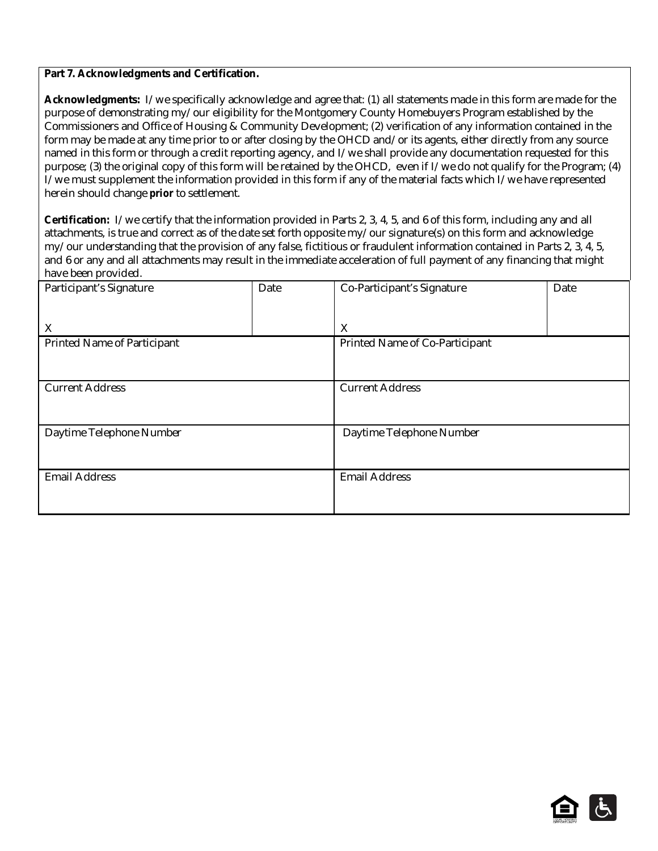#### **Part 7. Acknowledgments and Certification.**

**Acknowledgments:** I/we specifically acknowledge and agree that: (1) all statements made in this form are made for the purpose of demonstrating my/our eligibility for the Montgomery County Homebuyers Program established by the Commissioners and Office of Housing & Community Development; (2) verification of any information contained in the form may be made at any time prior to or after closing by the OHCD and/or its agents, either directly from any source named in this form or through a credit reporting agency, and I/we shall provide any documentation requested for this purpose; (3) the original copy of this form will be retained by the OHCD, even if I/we do not qualify for the Program; (4) I/we must supplement the information provided in this form if any of the material facts which I/we have represented herein should change *prior* to settlement.

**Certification:** I/we certify that the information provided in Parts 2, 3, 4, 5, and 6 of this form, including any and all attachments, is true and correct as of the date set forth opposite my/our signature(s) on this form and acknowledge my/our understanding that the provision of any false, fictitious or fraudulent information contained in Parts 2, 3, 4, 5, and 6 or any and all attachments may result in the immediate acceleration of full payment of any financing that might have been provided.

| Participant's Signature     | Date | Co-Participant's Signature     | Date |
|-----------------------------|------|--------------------------------|------|
|                             |      |                                |      |
| X                           |      | X                              |      |
| Printed Name of Participant |      | Printed Name of Co-Participant |      |
|                             |      |                                |      |
| <b>Current Address</b>      |      | <b>Current Address</b>         |      |
|                             |      |                                |      |
| Daytime Telephone Number    |      | Daytime Telephone Number       |      |
|                             |      |                                |      |
| <b>Email Address</b>        |      | <b>Email Address</b>           |      |
|                             |      |                                |      |
|                             |      |                                |      |

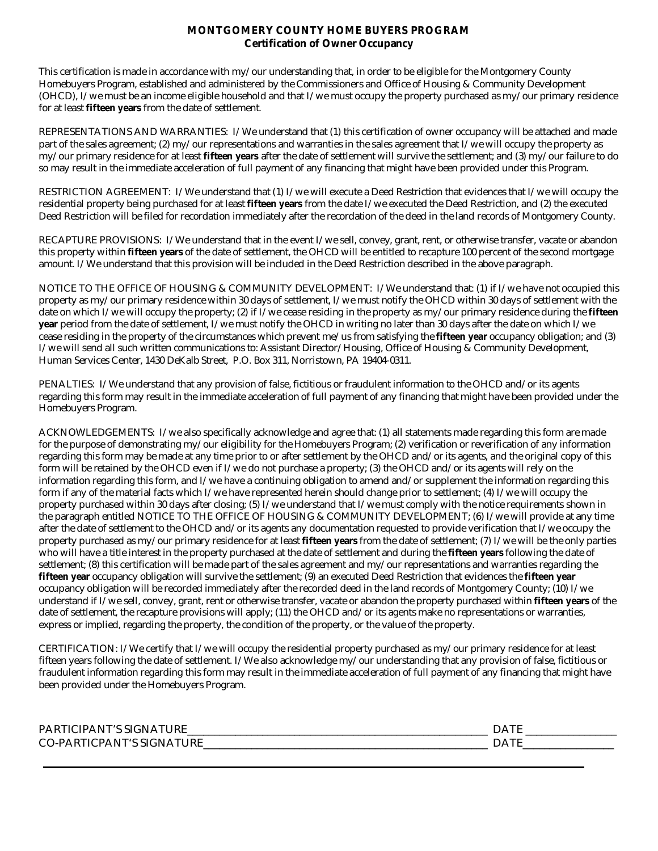#### **MONTGOMERY COUNTY HOME BUYERS PROGRAM Certification of Owner Occupancy**

This certification is made in accordance with my/our understanding that, in order to be eligible for the Montgomery County Homebuyers Program, established and administered by the Commissioners and Office of Housing & Community Development (OHCD), I/we must be an income eligible household and that I/we must occupy the property purchased as my/our primary residence for at least **fifteen years** from the date of settlement.

REPRESENTATIONS AND WARRANTIES: I/We understand that (1) this certification of owner occupancy will be attached and made part of the sales agreement; (2) my/our representations and warranties in the sales agreement that I/we will occupy the property as my/our primary residence for at least **fifteen years** after the date of settlement will survive the settlement; and (3) my/our failure to do so may result in the immediate acceleration of full payment of any financing that might have been provided under this Program.

RESTRICTION AGREEMENT: I/We understand that (1) I/we will execute a Deed Restriction that evidences that I/we will occupy the residential property being purchased for at least **fifteen years** from the date I/we executed the Deed Restriction, and (2) the executed Deed Restriction will be filed for recordation immediately after the recordation of the deed in the land records of Montgomery County.

RECAPTURE PROVISIONS: I/We understand that in the event I/we sell, convey, grant, rent, or otherwise transfer, vacate or abandon this property within **fifteen years** of the date of settlement, the OHCD will be entitled to recapture 100 percent of the second mortgage amount. I/We understand that this provision will be included in the Deed Restriction described in the above paragraph.

NOTICE TO THE OFFICE OF HOUSING & COMMUNITY DEVELOPMENT: I/We understand that: (1) if I/we have not occupied this property as my/our primary residence within 30 days of settlement, I/we must notify the OHCD within 30 days of settlement with the date on which I/we will occupy the property; (2) if I/we cease residing in the property as my/our primary residence during the **fifteen year** period from the date of settlement, I/we must notify the OHCD in writing no later than 30 days after the date on which I/we cease residing in the property of the circumstances which prevent me/us from satisfying the **fifteen year** occupancy obligation; and (3) I/we will send all such written communications to: Assistant Director/Housing, Office of Housing & Community Development, Human Services Center, 1430 DeKalb Street, P.O. Box 311, Norristown, PA 19404-0311.

PENALTIES: I/We understand that any provision of false, fictitious or fraudulent information to the OHCD and/or its agents regarding this form may result in the immediate acceleration of full payment of any financing that might have been provided under the Homebuyers Program.

ACKNOWLEDGEMENTS: I/we also specifically acknowledge and agree that: (1) all statements made regarding this form are made for the purpose of demonstrating my/our eligibility for the Homebuyers Program; (2) verification or reverification of any information regarding this form may be made at any time prior to or after settlement by the OHCD and/or its agents, and the original copy of this form will be retained by the OHCD even if I/we do not purchase a property; (3) the OHCD and/or its agents will rely on the information regarding this form, and I/we have a continuing obligation to amend and/or supplement the information regarding this form if any of the material facts which I/we have represented herein should change prior to settlement; (4) I/we will occupy the property purchased within 30 days after closing; (5) I/we understand that I/we must comply with the notice requirements shown in the paragraph entitled NOTICE TO THE OFFICE OF HOUSING & COMMUNITY DEVELOPMENT; (6) I/we will provide at any time after the date of settlement to the OHCD and/or its agents any documentation requested to provide verification that I/we occupy the property purchased as my/our primary residence for at least **fifteen years** from the date of settlement; (7) I/we will be the only parties who will have a title interest in the property purchased at the date of settlement and during the **fifteen years** following the date of settlement; (8) this certification will be made part of the sales agreement and my/our representations and warranties regarding the **fifteen year** occupancy obligation will survive the settlement; (9) an executed Deed Restriction that evidences the **fifteen year** occupancy obligation will be recorded immediately after the recorded deed in the land records of Montgomery County; (10) I/we understand if I/we sell, convey, grant, rent or otherwise transfer, vacate or abandon the property purchased within **fifteen years** of the date of settlement, the recapture provisions will apply; (11) the OHCD and/or its agents make no representations or warranties, express or implied, regarding the property, the condition of the property, or the value of the property.

CERTIFICATION: I/We certify that I/we will occupy the residential property purchased as my/our primary residence for at least fifteen years following the date of settlement. I/We also acknowledge my/our understanding that any provision of false, fictitious or fraudulent information regarding this form may result in the immediate acceleration of full payment of any financing that might have been provided under the Homebuyers Program.

| <b>JRF</b><br><b>PART</b><br>LIPANT'S SIGNAT<br>. | <u>.</u> |
|---------------------------------------------------|----------|
| URE<br><b>CO-PARTIO</b><br>CPANT'S SIGNAT         | ້        |
|                                                   |          |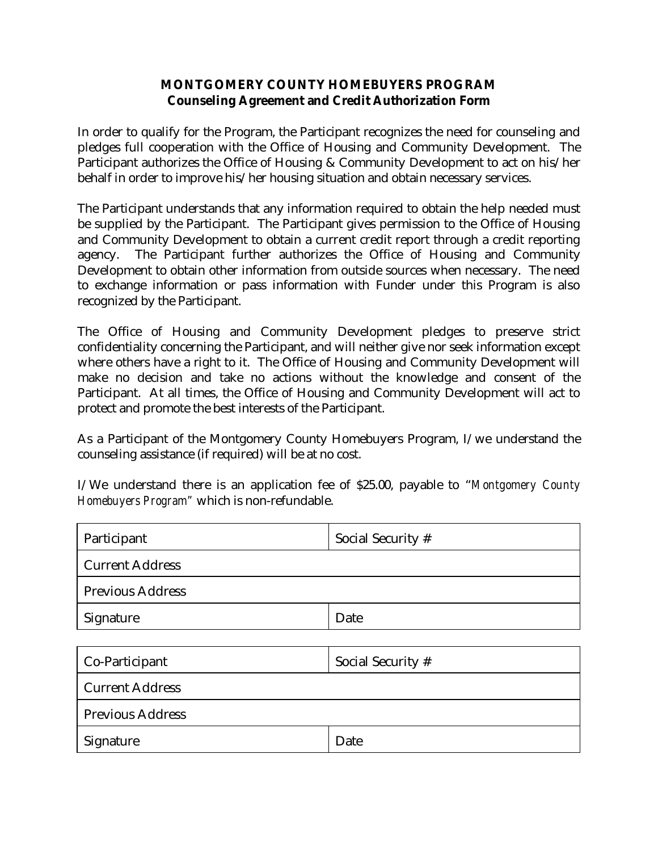#### **MONTGOMERY COUNTY HOMEBUYERS PROGRAM Counseling Agreement and Credit Authorization Form**

In order to qualify for the Program, the Participant recognizes the need for counseling and pledges full cooperation with the Office of Housing and Community Development. The Participant authorizes the Office of Housing & Community Development to act on his/her behalf in order to improve his/her housing situation and obtain necessary services.

The Participant understands that any information required to obtain the help needed must be supplied by the Participant. The Participant gives permission to the Office of Housing and Community Development to obtain a current credit report through a credit reporting agency. The Participant further authorizes the Office of Housing and Community Development to obtain other information from outside sources when necessary. The need to exchange information or pass information with Funder under this Program is also recognized by the Participant.

The Office of Housing and Community Development pledges to preserve strict confidentiality concerning the Participant, and will neither give nor seek information except where others have a right to it. The Office of Housing and Community Development will make no decision and take no actions without the knowledge and consent of the Participant. At all times, the Office of Housing and Community Development will act to protect and promote the best interests of the Participant.

As a Participant of the Montgomery County Homebuyers Program, I/we understand the counseling assistance (if required) will be at no cost.

I/We understand there is an application fee of \$25.00, payable to "*Montgomery County Homebuyers Program"* which is non-refundable.

| Participant             | Social Security # |  |  |  |  |  |
|-------------------------|-------------------|--|--|--|--|--|
| <b>Current Address</b>  |                   |  |  |  |  |  |
| <b>Previous Address</b> |                   |  |  |  |  |  |
| Signature               | Date              |  |  |  |  |  |
|                         |                   |  |  |  |  |  |
| Co-Participant          | Social Security # |  |  |  |  |  |
| <b>Current Address</b>  |                   |  |  |  |  |  |
| <b>Previous Address</b> |                   |  |  |  |  |  |

Signature Date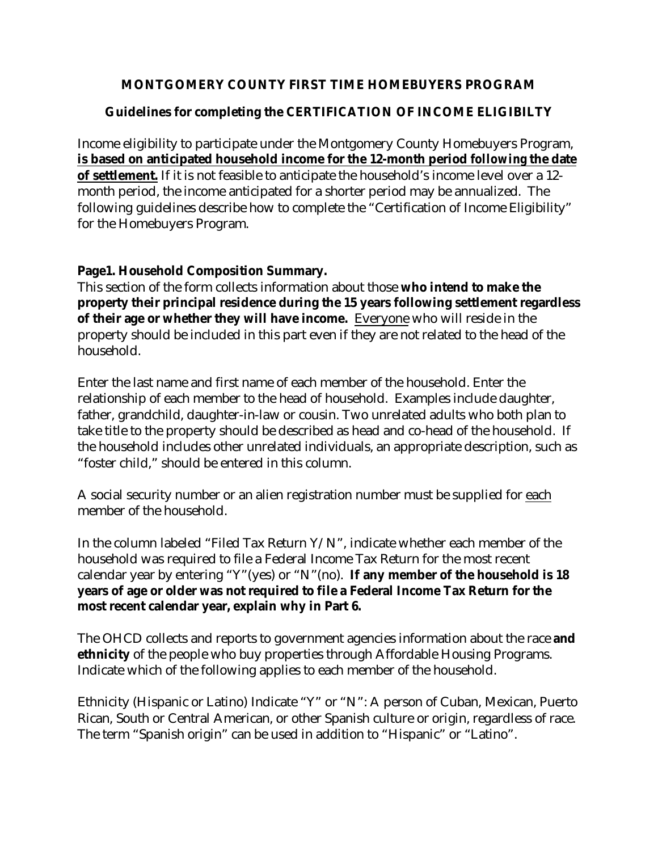## **MONTGOMERY COUNTY FIRST TIME HOMEBUYERS PROGRAM**

# **Guidelines for completing the CERTIFICATION OF INCOME ELIGIBILTY**

Income eligibility to participate under the Montgomery County Homebuyers Program, **is based on anticipated household income for the 12-month period** *following* **the date of settlement.** If it is not feasible to anticipate the household's income level over a 12 month period, the income anticipated for a shorter period may be annualized. The following guidelines describe how to complete the "Certification of Income Eligibility" for the Homebuyers Program.

#### **Page1. Household Composition Summary.**

This section of the form collects information about those **who intend to make the property their principal residence during the 15 years following settlement regardless of their age or whether they will have income.** Everyone who will reside in the property should be included in this part even if they are not related to the head of the household.

Enter the last name and first name of each member of the household. Enter the relationship of each member to the head of household. Examples include daughter, father, grandchild, daughter-in-law or cousin. Two unrelated adults who both plan to take title to the property should be described as head and co-head of the household. If the household includes other unrelated individuals, an appropriate description, such as "foster child," should be entered in this column.

A social security number or an alien registration number must be supplied for each member of the household.

In the column labeled "Filed Tax Return Y/N", indicate whether each member of the household was required to file a Federal Income Tax Return for the most recent calendar year by entering "Y"(yes) or "N"(no). **If any member of the household is 18 years of age or older was not required to file a Federal Income Tax Return for the most recent calendar year, explain why in Part 6.**

The OHCD collects and reports to government agencies information about the race **and ethnicity** of the people who buy properties through Affordable Housing Programs. Indicate which of the following applies to each member of the household.

Ethnicity (Hispanic or Latino) Indicate "Y" or "N": A person of Cuban, Mexican, Puerto Rican, South or Central American, or other Spanish culture or origin, regardless of race. The term "Spanish origin" can be used in addition to "Hispanic" or "Latino".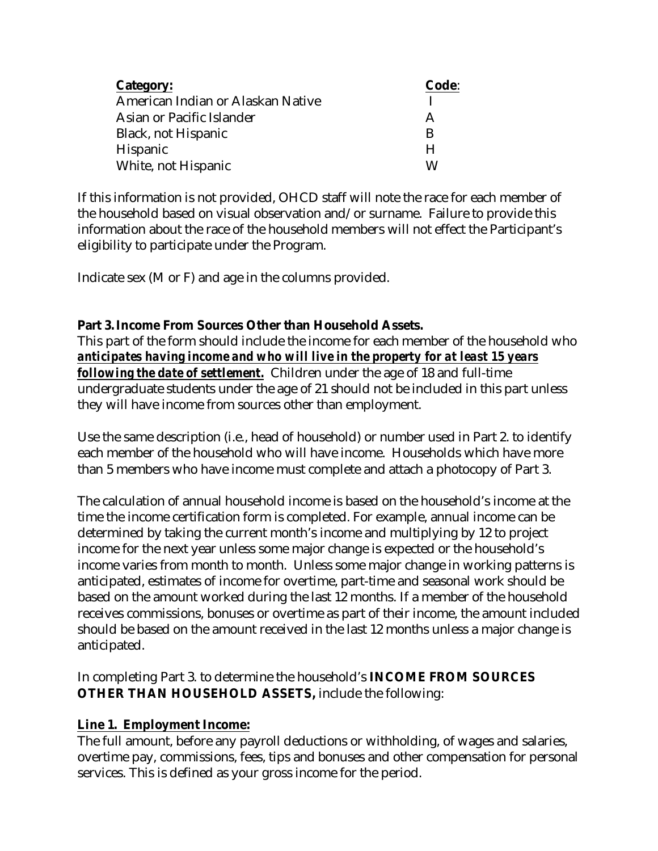| Category:                         | Code: |
|-----------------------------------|-------|
| American Indian or Alaskan Native |       |
| Asian or Pacific Islander         | А     |
| Black, not Hispanic               | R     |
| Hispanic                          | н     |
| White, not Hispanic               | W     |

If this information is not provided, OHCD staff will note the race for each member of the household based on visual observation and/or surname. Failure to provide this information about the race of the household members will not effect the Participant's eligibility to participate under the Program.

Indicate sex (M or F) and age in the columns provided.

# **Part 3.Income From Sources Other than Household Assets.**

This part of the form should include the income for each member of the household who *anticipates having income and who will live in the property for at least 15 years following the date of settlement.* Children under the age of 18 and full-time undergraduate students under the age of 21 should not be included in this part unless they will have income from sources other than employment.

Use the same description (i.e., head of household) or number used in Part 2. to identify each member of the household who will have income. Households which have more than 5 members who have income must complete and attach a photocopy of Part 3.

The calculation of annual household income is based on the household's income at the time the income certification form is completed. For example, annual income can be determined by taking the current month's income and multiplying by 12 to project income for the next year unless some major change is expected or the household's income varies from month to month. Unless some major change in working patterns is anticipated, estimates of income for overtime, part-time and seasonal work should be based on the amount worked during the last 12 months. If a member of the household receives commissions, bonuses or overtime as part of their income, the amount included should be based on the amount received in the last 12 months unless a major change is anticipated.

In completing Part 3. to determine the household's **INCOME FROM SOURCES OTHER THAN HOUSEHOLD ASSETS,** include the following:

# **Line 1. Employment Income:**

The full amount, before any payroll deductions or withholding, of wages and salaries, overtime pay, commissions, fees, tips and bonuses and other compensation for personal services. This is defined as your gross income for the period.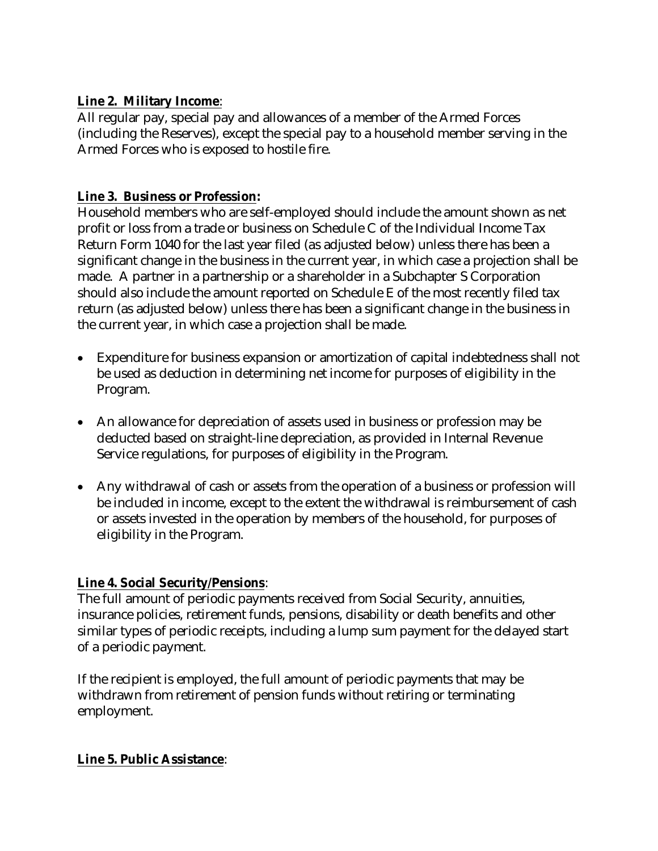## **Line 2. Military Income**:

All regular pay, special pay and allowances of a member of the Armed Forces (including the Reserves), except the special pay to a household member serving in the Armed Forces who is exposed to hostile fire.

## **Line 3. Business or Profession:**

Household members who are self-employed should include the amount shown as net profit or loss from a trade or business on Schedule C of the Individual Income Tax Return Form 1040 for the last year filed (as adjusted below) unless there has been a significant change in the business in the current year, in which case a projection shall be made. A partner in a partnership or a shareholder in a Subchapter S Corporation should also include the amount reported on Schedule E of the most recently filed tax return (as adjusted below) unless there has been a significant change in the business in the current year, in which case a projection shall be made.

- Expenditure for business expansion or amortization of capital indebtedness shall not be used as deduction in determining net income for purposes of eligibility in the Program.
- An allowance for depreciation of assets used in business or profession may be deducted based on straight-line depreciation, as provided in Internal Revenue Service regulations, for purposes of eligibility in the Program.
- Any withdrawal of cash or assets from the operation of a business or profession will be included in income, except to the extent the withdrawal is reimbursement of cash or assets invested in the operation by members of the household, for purposes of eligibility in the Program.

# **Line 4. Social Security/Pensions**:

The full amount of periodic payments received from Social Security, annuities, insurance policies, retirement funds, pensions, disability or death benefits and other similar types of periodic receipts, including a lump sum payment for the delayed start of a periodic payment.

If the recipient is employed, the full amount of periodic payments that may be withdrawn from retirement of pension funds without retiring or terminating employment.

### **Line 5. Public Assistance**: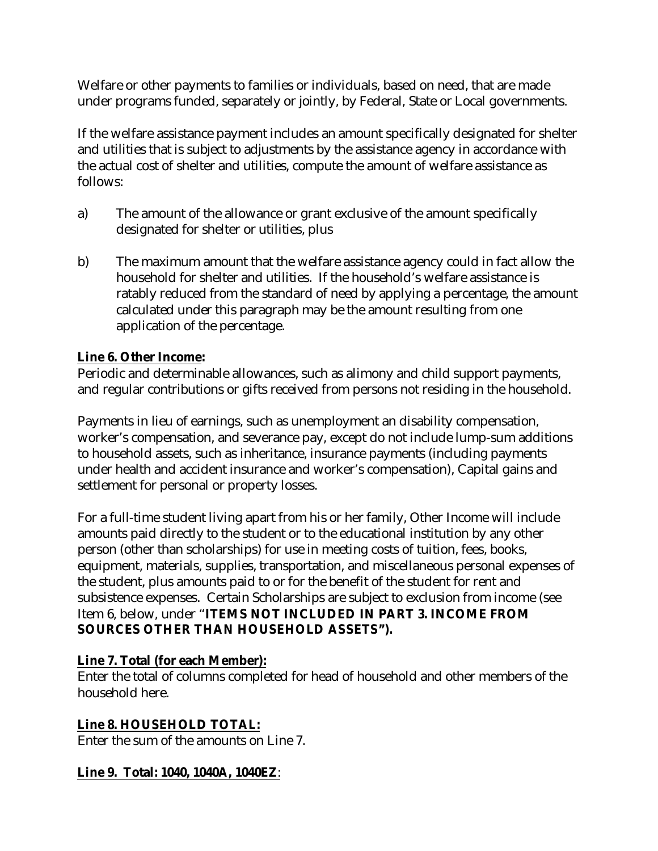Welfare or other payments to families or individuals, based on need, that are made under programs funded, separately or jointly, by Federal, State or Local governments.

If the welfare assistance payment includes an amount specifically designated for shelter and utilities that is subject to adjustments by the assistance agency in accordance with the actual cost of shelter and utilities, compute the amount of welfare assistance as follows:

- a) The amount of the allowance or grant exclusive of the amount specifically designated for shelter or utilities, plus
- b) The maximum amount that the welfare assistance agency could in fact allow the household for shelter and utilities. If the household's welfare assistance is ratably reduced from the standard of need by applying a percentage, the amount calculated under this paragraph may be the amount resulting from one application of the percentage.

## **Line 6. Other Income:**

Periodic and determinable allowances, such as alimony and child support payments, and regular contributions or gifts received from persons not residing in the household.

Payments in lieu of earnings, such as unemployment an disability compensation, worker's compensation, and severance pay, except do not include lump-sum additions to household assets, such as inheritance, insurance payments (including payments under health and accident insurance and worker's compensation), Capital gains and settlement for personal or property losses.

For a full-time student living apart from his or her family, Other Income will include amounts paid directly to the student or to the educational institution by any other person (other than scholarships) for use in meeting costs of tuition, fees, books, equipment, materials, supplies, transportation, and miscellaneous personal expenses of the student, plus amounts paid to or for the benefit of the student for rent and subsistence expenses. Certain Scholarships are subject to exclusion from income (see Item 6, below, under "**ITEMS NOT INCLUDED IN PART 3. INCOME FROM SOURCES OTHER THAN HOUSEHOLD ASSETS").**

# **Line 7. Total (for each Member):**

Enter the total of columns completed for head of household and other members of the household here.

# **Line 8. HOUSEHOLD TOTAL:**

Enter the sum of the amounts on Line 7.

### **Line 9. Total: 1040, 1040A, 1040EZ**: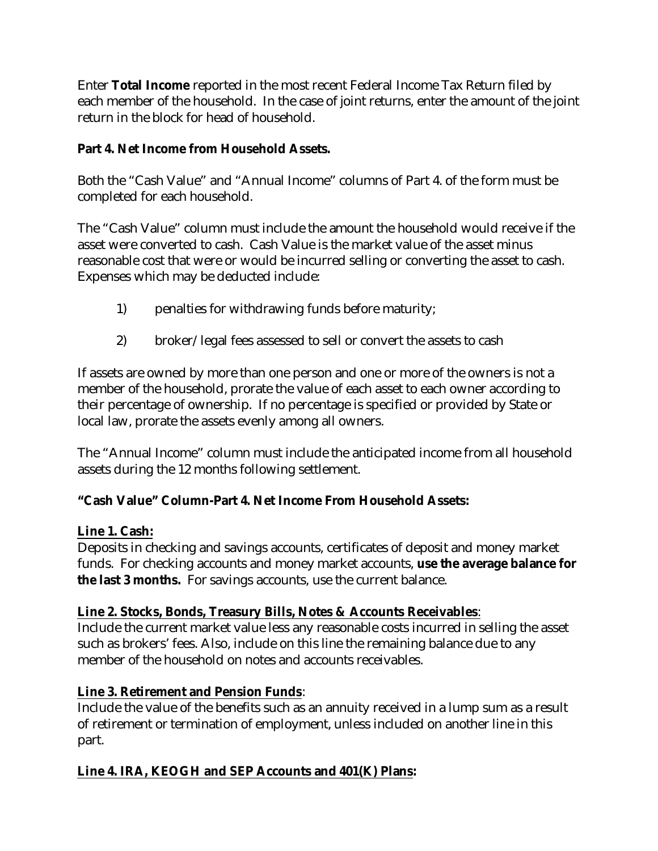Enter **Total Income** reported in the most recent Federal Income Tax Return filed by each member of the household. In the case of joint returns, enter the amount of the joint return in the block for head of household.

## **Part 4. Net Income from Household Assets.**

Both the "Cash Value" and "Annual Income" columns of Part 4. of the form must be completed for each household.

The "Cash Value" column must include the amount the household would receive if the asset were converted to cash. Cash Value is the market value of the asset minus reasonable cost that were or would be incurred selling or converting the asset to cash. Expenses which may be deducted include:

- 1) penalties for withdrawing funds before maturity;
- 2) broker/legal fees assessed to sell or convert the assets to cash

If assets are owned by more than one person and one or more of the owners is not a member of the household, prorate the value of each asset to each owner according to their percentage of ownership. If no percentage is specified or provided by State or local law, prorate the assets evenly among all owners.

The "Annual Income" column must include the anticipated income from all household assets during the 12 months following settlement.

# **"Cash Value" Column-Part 4. Net Income From Household Assets:**

### **Line 1. Cash:**

Deposits in checking and savings accounts, certificates of deposit and money market funds. For checking accounts and money market accounts, **use the average balance for the last 3 months.** For savings accounts, use the current balance.

### **Line 2. Stocks, Bonds, Treasury Bills, Notes & Accounts Receivables**:

Include the current market value less any reasonable costs incurred in selling the asset such as brokers' fees. Also, include on this line the remaining balance due to any member of the household on notes and accounts receivables.

# **Line 3. Retirement and Pension Funds**:

Include the value of the benefits such as an annuity received in a lump sum as a result of retirement or termination of employment, unless included on another line in this part.

# **Line 4. IRA, KEOGH and SEP Accounts and 401(K) Plans:**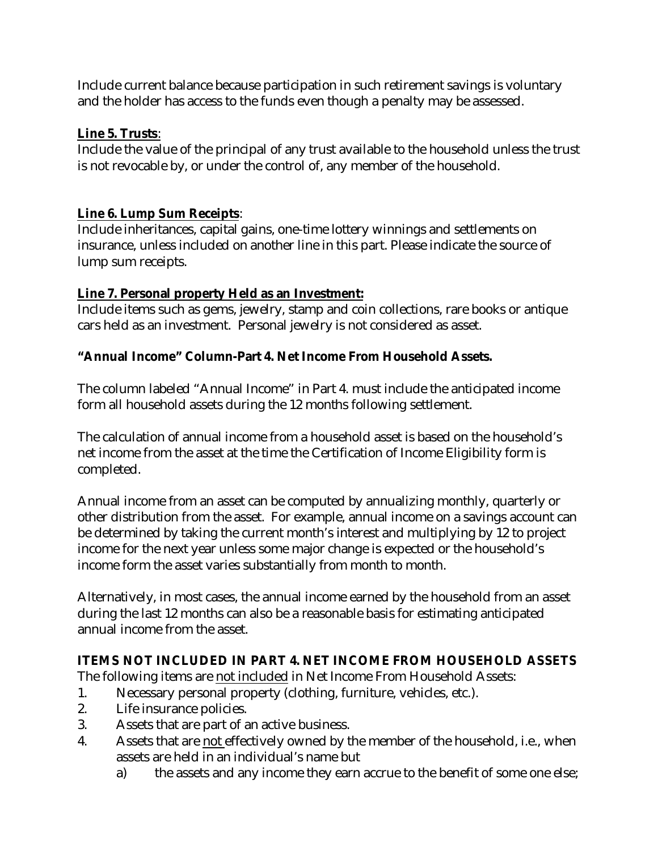Include current balance because participation in such retirement savings is voluntary and the holder has access to the funds even though a penalty may be assessed.

## **Line 5. Trusts**:

Include the value of the principal of any trust available to the household unless the trust is not revocable by, or under the control of, any member of the household.

## **Line 6. Lump Sum Receipts**:

Include inheritances, capital gains, one-time lottery winnings and settlements on insurance, unless included on another line in this part. Please indicate the source of lump sum receipts.

# **Line 7. Personal property Held as an Investment:**

Include items such as gems, jewelry, stamp and coin collections, rare books or antique cars held as an investment. Personal jewelry is not considered as asset.

# **"Annual Income" Column-Part 4. Net Income From Household Assets.**

The column labeled "Annual Income" in Part 4. must include the anticipated income form all household assets during the 12 months following settlement.

The calculation of annual income from a household asset is based on the household's net income from the asset at the time the Certification of Income Eligibility form is completed.

Annual income from an asset can be computed by annualizing monthly, quarterly or other distribution from the asset. For example, annual income on a savings account can be determined by taking the current month's interest and multiplying by 12 to project income for the next year unless some major change is expected or the household's income form the asset varies substantially from month to month.

Alternatively, in most cases, the annual income earned by the household from an asset during the last 12 months can also be a reasonable basis for estimating anticipated annual income from the asset.

# **ITEMS NOT INCLUDED IN PART 4. NET INCOME FROM HOUSEHOLD ASSETS**

The following items are not included in Net Income From Household Assets:

- 1. Necessary personal property (clothing, furniture, vehicles, etc.).
- 2. Life insurance policies.
- 3. Assets that are part of an active business.
- 4. Assets that are not effectively owned by the member of the household, i.e., when assets are held in an individual's name but
	- a) the assets and any income they earn accrue to the benefit of some one else;